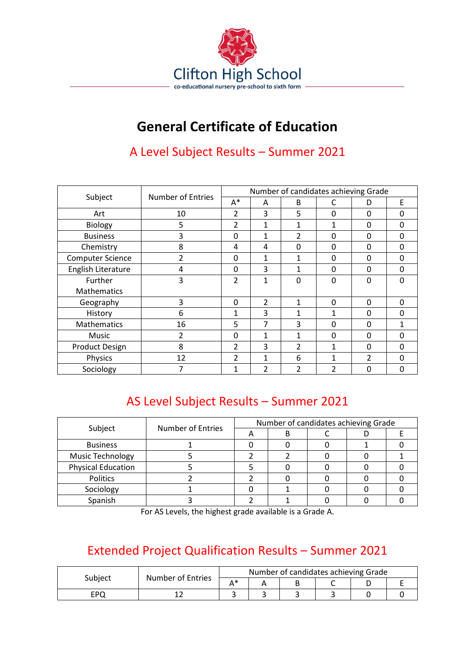

## **General Certificate of Education**

## A Level Subject Results – Summer 2021

| Subject                 | Number of Entries | Number of candidates achieving Grade |                          |              |              |                |          |  |
|-------------------------|-------------------|--------------------------------------|--------------------------|--------------|--------------|----------------|----------|--|
|                         |                   | $A^*$                                | A                        | B            | C            | D              | E        |  |
| Art                     | 10                | $\overline{\mathcal{L}}$             | 3                        | 5            | $\Omega$     | $\Omega$       | 0        |  |
| Biology                 | 5                 | $\overline{2}$                       | 1                        | 1            | 1            | $\mathbf 0$    | $\Omega$ |  |
| <b>Business</b>         | 3                 | 0                                    | 1                        | 2            | 0            | 0              | $\Omega$ |  |
| Chemistry               | 8                 | 4                                    | 4                        | 0            | $\mathbf{0}$ | $\mathbf 0$    | $\Omega$ |  |
| <b>Computer Science</b> | $\overline{2}$    | $\Omega$                             | $\mathbf{1}$             | 1            | $\Omega$     | $\Omega$       | $\Omega$ |  |
| English Literature      | 4                 | $\Omega$                             | 3                        | $\mathbf{1}$ | $\Omega$     | $\Omega$       | $\Omega$ |  |
| Further                 | 3                 | 2                                    | 1                        | 0            | $\Omega$     | 0              | $\Omega$ |  |
| Mathematics             |                   |                                      |                          |              |              |                |          |  |
| Geography               | 3                 | $\Omega$                             | $\overline{\mathcal{L}}$ | 1            | $\Omega$     | $\Omega$       | $\Omega$ |  |
| History                 | 6                 | 1                                    | 3                        | 1            |              | $\Omega$       | $\Omega$ |  |
| Mathematics             | 16                | 5                                    | 7                        | 3            | $\Omega$     | $\Omega$       | 1        |  |
| Music                   | $\overline{2}$    | 0                                    | 1                        | 1            | $\mathbf{0}$ | $\mathbf 0$    | $\Omega$ |  |
| <b>Product Design</b>   | 8                 | 2                                    | 3                        | 2            | 1            | 0              | 0        |  |
| Physics                 | 12                | $\overline{2}$                       | 1                        | 6            | 1            | $\overline{2}$ | $\Omega$ |  |
| Sociology               |                   | 1                                    | 2                        | 2            | 2            | 0              | 0        |  |

## AS Level Subject Results – Summer 2021

|                           | Number of Entries | Number of candidates achieving Grade |  |  |  |  |  |
|---------------------------|-------------------|--------------------------------------|--|--|--|--|--|
| Subject                   |                   |                                      |  |  |  |  |  |
| <b>Business</b>           |                   |                                      |  |  |  |  |  |
| <b>Music Technology</b>   |                   |                                      |  |  |  |  |  |
| <b>Physical Education</b> |                   |                                      |  |  |  |  |  |
| Politics                  |                   |                                      |  |  |  |  |  |
| Sociology                 |                   |                                      |  |  |  |  |  |
| Spanish                   |                   |                                      |  |  |  |  |  |

For AS Levels, the highest grade available is a Grade A.

## Extended Project Qualification Results – Summer 2021

| Subject | <b>Number of Entries</b> | Number of candidates achieving Grade |  |  |  |  |  |  |
|---------|--------------------------|--------------------------------------|--|--|--|--|--|--|
|         |                          | $A*$                                 |  |  |  |  |  |  |
| EPC     |                          |                                      |  |  |  |  |  |  |